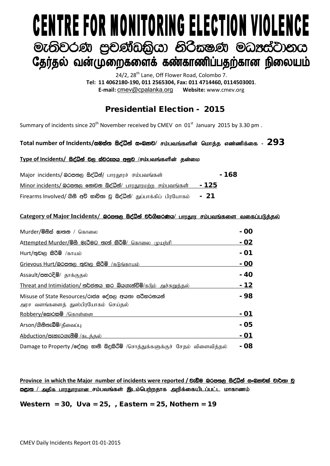# **CENTRE FOR MONITORING ELECTION VIOLENCE** මැතිවරණ පුචණ්ඩකියා නිරිකෂණ මධාප්ටානය தேர்தல் வன்முறைகளைக் கண்காணிப்பதற்கான நிலையம்

24/2, 28<sup>th</sup> Lane, Off Flower Road, Colombo 7. **Tel: 11 4062180-190, 011 2565304, Fax: 011 4714460, 0114503001**. **E-mail:** [cmev@cpalanka.org](mailto:cmev@cpalanka.org) **Website:** www.cmev.org

## Presidential Election - 2015

Summary of incidents since 20<sup>th</sup> November received by CMEV on  $01<sup>st</sup>$  January 2015 by 3.30 pm.

### $\Gamma$ otal number of Incidents/සමස්ත සිද්ධීන් සංඛතව/ சம்பவங்களின் மொக்க எண்ணிக்கை -  $293$

#### Type of Incidents/ සිද්ධින් වල ස්වරූපය අනුව /சம்பவங்களின் தன்மை

| Major incidents/ லெக்ஸ்ரு க்ஜீலீதி/ பாரதூரச் சம்பவங்கள்               | $-168$ |
|-----------------------------------------------------------------------|--------|
| <u>Minor incidents/ බරපතල නොවන සිද්ධීන්/ பாரதூரமற்ற சம்பவங்கள்</u>    | - 125  |
| Firearms Involved/ ගිනි අවි භාවිතා වූ සිද්ධීන්/ துப்பாக்கிப் பிரயோகம் | - 21   |

#### Category of Major Incidents/ இ<del>රපතුල සිද්ධීන් වර්ගීකර</del>ණය/ பாரதார சம்பவங்களை வகைப்படுத்தல்

| Murder/මිනිස් සාතන / கொலை                                                                | - 00 |
|------------------------------------------------------------------------------------------|------|
| Attempted Murder/මිහි මැරිමට තැත් කිරිමි/ கொலை முயற்சி                                   | - 02 |
| Hurt/තුවාල කිරිමි /காயம்                                                                 | - 01 |
| Grievous Hurt/බරපතල තුවාල කිරීම් /கடுங்காயம்                                             | - 00 |
| Assault/පහරදීම්/ தாக்குதல்                                                               | - 40 |
| Threat and Intimidation/ තර්ජනය කර බියගැන්වීම්/ $\delta$ டும் அச்சுறுத்தல்               | - 12 |
| Misuse of State Resources/රාජන දේපල අයතා පරිහරනයන්<br>அரச வளங்களைத் துஸ்பிரயோகம் செய்தல் | - 98 |
| Robbery/෩෮෨ම /கொள்ளை                                                                     | - 01 |
| Arson/ගිනිතැබීම/தீவைப்பு                                                                 | - 05 |
| <u>Abduction/පැහැරගැනීම් /கடக்கல்</u>                                                    | - 01 |
| Damage to Property /දේපල භානි සිදුකිරීම් /சொத்துக்களுக்குச் சேதம் விளைவித்தல்            | - 08 |

Province in which the Major number of incidents were reported / වැඩිම බරපතල සිද්ධින් සංඛ**යාවක් වාර්තා** ව <u>ஜூை / அகிக பாரகாரமான ச</u>ம்பவங்கள் இடம்பெற்றதாக அறிக்கையிடப்பட்ட மாகாணம்

Western =  $30.$  Uva =  $25.$  , Eastern =  $25.$  Nothern =  $19.$